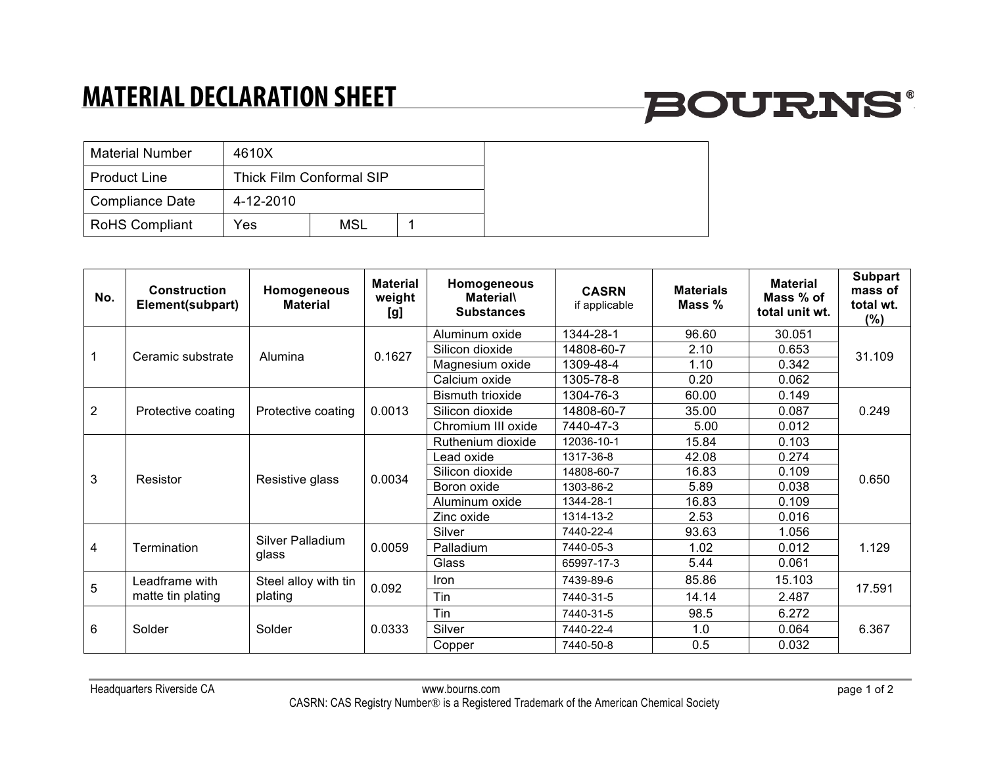## **MATERIAL DECLARATION SHEET**

# **BOURNS®**

| <b>Material Number</b> | 4610X     |                          |  |
|------------------------|-----------|--------------------------|--|
| <b>Product Line</b>    |           | Thick Film Conformal SIP |  |
| Compliance Date        | 4-12-2010 |                          |  |
| <b>RoHS Compliant</b>  | Yes       | <b>MSL</b>               |  |

| No.            | <b>Construction</b><br>Element(subpart) | Homogeneous<br><b>Material</b>  | <b>Material</b><br>weight<br>[g] | Homogeneous<br><b>Material</b><br><b>Substances</b> | <b>CASRN</b><br>if applicable | <b>Materials</b><br>Mass % | <b>Material</b><br>Mass % of<br>total unit wt. | <b>Subpart</b><br>mass of<br>total wt.<br>$(\%)$ |
|----------------|-----------------------------------------|---------------------------------|----------------------------------|-----------------------------------------------------|-------------------------------|----------------------------|------------------------------------------------|--------------------------------------------------|
|                | Ceramic substrate                       | Alumina                         | 0.1627                           | Aluminum oxide                                      | 1344-28-1                     | 96.60                      | 30.051                                         | 31.109                                           |
|                |                                         |                                 |                                  | Silicon dioxide                                     | 14808-60-7                    | 2.10                       | 0.653                                          |                                                  |
|                |                                         |                                 |                                  | Magnesium oxide                                     | 1309-48-4                     | 1.10                       | 0.342                                          |                                                  |
|                |                                         |                                 |                                  | Calcium oxide                                       | 1305-78-8                     | 0.20                       | 0.062                                          |                                                  |
| $\overline{2}$ | Protective coating                      | Protective coating              | 0.0013                           | <b>Bismuth trioxide</b>                             | 1304-76-3                     | 60.00                      | 0.149                                          | 0.249                                            |
|                |                                         |                                 |                                  | Silicon dioxide                                     | 14808-60-7                    | 35.00                      | 0.087                                          |                                                  |
|                |                                         |                                 |                                  | Chromium III oxide                                  | 7440-47-3                     | 5.00                       | 0.012                                          |                                                  |
| 3              | Resistor                                | Resistive glass                 | 0.0034                           | Ruthenium dioxide                                   | 12036-10-1                    | 15.84                      | 0.103                                          | 0.650                                            |
|                |                                         |                                 |                                  | Lead oxide                                          | 1317-36-8                     | 42.08                      | 0.274                                          |                                                  |
|                |                                         |                                 |                                  | Silicon dioxide                                     | 14808-60-7                    | 16.83                      | 0.109                                          |                                                  |
|                |                                         |                                 |                                  | Boron oxide                                         | 1303-86-2                     | 5.89                       | 0.038                                          |                                                  |
|                |                                         |                                 |                                  | Aluminum oxide                                      | 1344-28-1                     | 16.83                      | 0.109                                          |                                                  |
|                |                                         |                                 |                                  | Zinc oxide                                          | 1314-13-2                     | 2.53                       | 0.016                                          |                                                  |
| 4              | Termination                             | Silver Palladium<br>glass       | 0.0059                           | Silver                                              | 7440-22-4                     | 93.63                      | 1.056                                          | 1.129                                            |
|                |                                         |                                 |                                  | Palladium                                           | 7440-05-3                     | 1.02                       | 0.012                                          |                                                  |
|                |                                         |                                 |                                  | Glass                                               | 65997-17-3                    | 5.44                       | 0.061                                          |                                                  |
| 5              | Leadframe with<br>matte tin plating     | Steel alloy with tin<br>plating | 0.092                            | <b>Iron</b>                                         | 7439-89-6                     | 85.86                      | 15.103                                         | 17.591                                           |
|                |                                         |                                 |                                  | Tin                                                 | 7440-31-5                     | 14.14                      | 2.487                                          |                                                  |
| 6              | Solder                                  | Solder                          | 0.0333                           | Tin                                                 | 7440-31-5                     | 98.5                       | 6.272                                          | 6.367                                            |
|                |                                         |                                 |                                  | Silver                                              | 7440-22-4                     | 1.0                        | 0.064                                          |                                                  |
|                |                                         |                                 |                                  | Copper                                              | 7440-50-8                     | 0.5                        | 0.032                                          |                                                  |